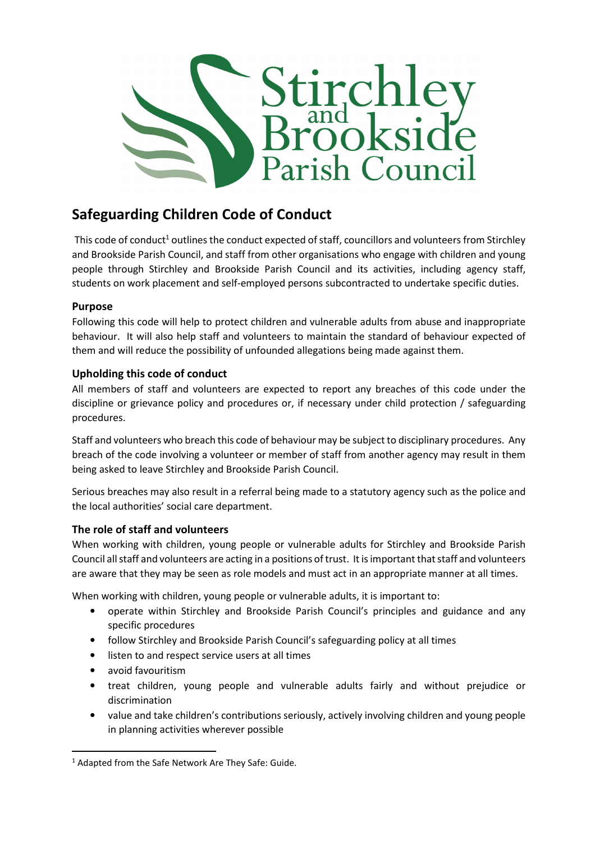

## Safeguarding Children Code of Conduct

This code of conduct<sup>1</sup> outlines the conduct expected of staff, councillors and volunteers from Stirchley and Brookside Parish Council, and staff from other organisations who engage with children and young people through Stirchley and Brookside Parish Council and its activities, including agency staff, students on work placement and self-employed persons subcontracted to undertake specific duties.

## Purpose

Following this code will help to protect children and vulnerable adults from abuse and inappropriate behaviour. It will also help staff and volunteers to maintain the standard of behaviour expected of them and will reduce the possibility of unfounded allegations being made against them.

## Upholding this code of conduct

All members of staff and volunteers are expected to report any breaches of this code under the discipline or grievance policy and procedures or, if necessary under child protection / safeguarding procedures.

Staff and volunteers who breach this code of behaviour may be subject to disciplinary procedures. Any breach of the code involving a volunteer or member of staff from another agency may result in them being asked to leave Stirchley and Brookside Parish Council.

Serious breaches may also result in a referral being made to a statutory agency such as the police and the local authorities' social care department.

## The role of staff and volunteers

When working with children, young people or vulnerable adults for Stirchley and Brookside Parish Council all staff and volunteers are acting in a positions of trust. It is important that staff and volunteers are aware that they may be seen as role models and must act in an appropriate manner at all times.

When working with children, young people or vulnerable adults, it is important to:

- operate within Stirchley and Brookside Parish Council's principles and guidance and any specific procedures
- follow Stirchley and Brookside Parish Council's safeguarding policy at all times
- listen to and respect service users at all times
- avoid favouritism

 $\overline{a}$ 

- treat children, young people and vulnerable adults fairly and without prejudice or discrimination
- value and take children's contributions seriously, actively involving children and young people in planning activities wherever possible

<sup>&</sup>lt;sup>1</sup> Adapted from the Safe Network Are They Safe: Guide.